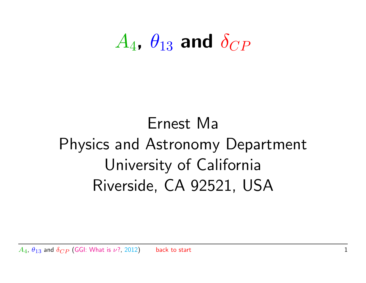## $A_4$ ,  $\theta_{13}$  and  $\delta_{CP}$

## Ernest Ma Physics and Astronomy Department University of California Riverside, CA 92521, USA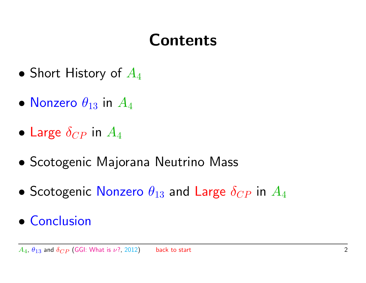### Contents

- <span id="page-1-0"></span>• [Short History of](#page-2-0)  $A_4$
- [Nonzero](#page-7-0)  $\theta_{13}$  in  $A_4$
- [Large](#page-10-0)  $\delta_{CP}$  in  $A_4$
- [Scotogenic Majorana Neutrino Mass](#page-18-0)
- [Scotogenic](#page-21-0) Nonzero  $\theta_{13}$  and Large  $\delta_{CP}$  in  $A_4$
- [Conclusion](#page-30-0)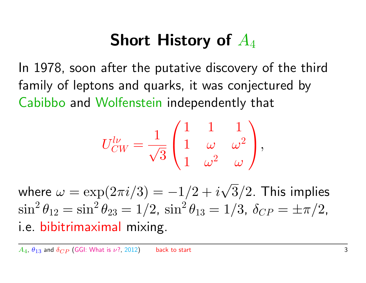#### Short History of  $A_4$

<span id="page-2-0"></span>In 1978, soon after the putative discovery of the third family of leptons and quarks, it was conjectured by Cabibbo and Wolfenstein independently that

$$
U_{CW}^{l\nu}=\frac{1}{\sqrt{3}}\begin{pmatrix}1&1&1\\1&\omega&\omega^2\\1&\omega^2&\omega\end{pmatrix},
$$

where  $\omega=\exp(2\pi i/3)=-1/2+i$ √  $3/2.$  This implies  $\sin^2\theta_{12} = \sin^2\theta_{23} = 1/2$ ,  $\sin^2\theta_{13} = 1/3$ ,  $\delta_{CP} = \pm \pi/2$ , i.e. bibitrimaximal mixing.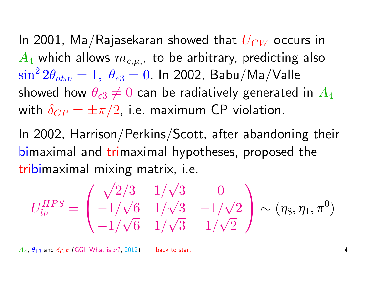In 2001, Ma/Rajasekaran showed that  $U_{CW}$  occurs in  $A_4$  which allows  $m_{e,\mu,\tau}$  to be arbitrary, predicting also  $\sin^2 2\theta_{atm}=1, \,\, \theta_{e3}=0.$  In 2002, Babu/Ma/Valle showed how  $\theta_{e3} \neq 0$  can be radiatively generated in  $A_4$ with  $\delta_{CP} = \pm \pi/2$ , i.e. maximum CP violation.

In 2002, Harrison/Perkins/Scott, after abandoning their bimaximal and trimaximal hypotheses, proposed the tribimaximal mixing matrix, i.e.

$$
U_{l\nu}^{HPS} = \begin{pmatrix} \sqrt{2/3} & 1/\sqrt{3} & 0\\ -1/\sqrt{6} & 1/\sqrt{3} & -1/\sqrt{2} \\ -1/\sqrt{6} & 1/\sqrt{3} & 1/\sqrt{2} \end{pmatrix} \sim (\eta_8, \eta_1, \pi^0)
$$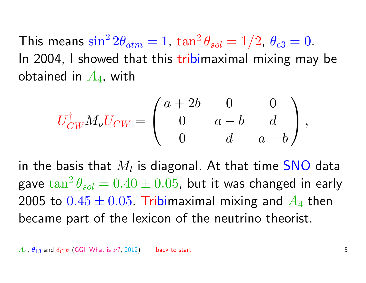This means  $\sin^2 2\theta_{atm} = 1$ ,  $\tan^2 \theta_{sol} = 1/2$ ,  $\theta_{e3} = 0$ . In 2004, I showed that this tribimaximal mixing may be obtained in  $A_4$ , with

$$
U_{CW}^{\dagger} M_{\nu} U_{CW} = \begin{pmatrix} a+2b & 0 & 0 \\ 0 & a-b & d \\ 0 & d & a-b \end{pmatrix},
$$

in the basis that  $M_l$  is diagonal. At that time  $\mathsf{SNO}$  data gave  $\tan^{2}\theta_{sol}=0.40\pm0.05$ , but it was changed in early 2005 to  $0.45 \pm 0.05$ . Tribimaximal mixing and  $A_4$  then became part of the lexicon of the neutrino theorist.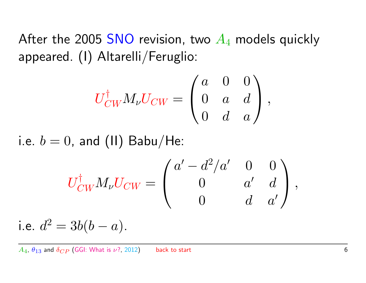After the 2005 SNO revision, two  $A_4$  models quickly appeared. (I) Altarelli/Feruglio:

$$
U_{CW}^\dagger M_\nu U_{CW} = \begin{pmatrix} a & 0 & 0 \\ 0 & a & d \\ 0 & d & a \end{pmatrix},
$$

i.e.  $b = 0$ , and (II) Babu/He:

$$
U_{CW}^{\dagger} M_{\nu} U_{CW} = \begin{pmatrix} a' - d^2/a' & 0 & 0 \\ 0 & a' & d \\ 0 & d & a' \end{pmatrix},
$$

i.e. 
$$
d^2 = 3b(b - a)
$$
.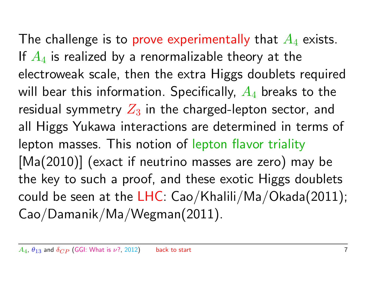The challenge is to prove experimentally that  $A_4$  exists. If  $A_4$  is realized by a renormalizable theory at the electroweak scale, then the extra Higgs doublets required will bear this information. Specifically,  $A_4$  breaks to the residual symmetry  $Z_3$  in the charged-lepton sector, and all Higgs Yukawa interactions are determined in terms of lepton masses. This notion of lepton flavor triality [Ma(2010)] (exact if neutrino masses are zero) may be the key to such a proof, and these exotic Higgs doublets could be seen at the LHC:  $Cao/Khaliii/Ma/Okada(2011);$ Cao/Damanik/Ma/Wegman(2011).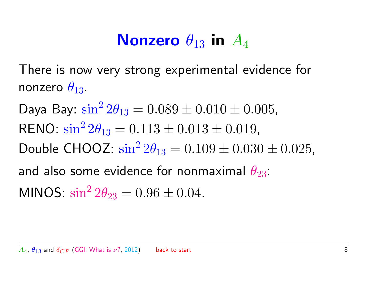#### Nonzero  $\theta_{13}$  in  $A_4$

<span id="page-7-0"></span>There is now very strong experimental evidence for nonzero  $\theta_{13}$ .

Daya Bay:  $\sin^2 2\theta_{13} = 0.089 \pm 0.010 \pm 0.005$ , RENO:  $\sin^2 2\theta_{13} = 0.113 \pm 0.013 \pm 0.019$ , Double CHOOZ:  $\sin^2 2\theta_{13} = 0.109 \pm 0.030 \pm 0.025$ , and also some evidence for nonmaximal  $\theta_{23}$ : MINOS:  $\sin^2 2\theta_{23} = 0.96 \pm 0.04$ .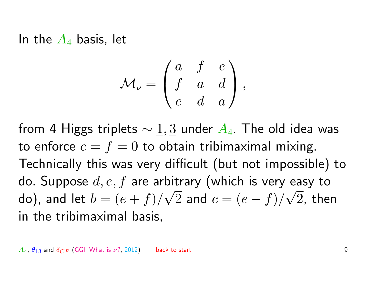In the  $A_4$  basis, let

$$
\mathcal{M}_{\nu} = \begin{pmatrix} a & f & e \\ f & a & d \\ e & d & a \end{pmatrix},
$$

from 4 Higgs triplets  $\sim 1, 3$  under  $A_4$ . The old idea was to enforce  $e = f = 0$  to obtain tribimaximal mixing. Technically this was very difficult (but not impossible) to do. Suppose  $d,e,f$  are arbitrary (which is very easy to do), and let  $b=(e+f)/\sqrt{2}$  and  $c=(e-f)/\sqrt{2}$ , then Ditrary (WILCH is very e in the tribimaximal basis,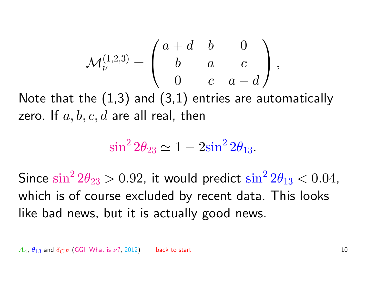$$
\mathcal{M}_{\nu}^{(1,2,3)}=\left(\begin{array}{cccc} a+d & b & 0 \\ b & a & c \\ 0 & c & a-d \end{array}\right),
$$

Note that the  $(1,3)$  and  $(3,1)$  entries are automatically zero. If  $a, b, c, d$  are all real, then

$$
\sin^2 2\theta_{23} \simeq 1 - 2\sin^2 2\theta_{13}.
$$

Since  $\sin^2 2\theta_{23} > 0.92$ , it would predict  $\sin^2 2\theta_{13} < 0.04$ , which is of course excluded by recent data. This looks like bad news, but it is actually good news.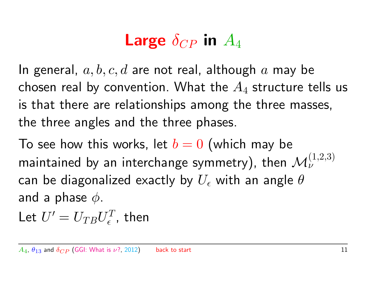## Large  $\delta_{CP}$  in  $A_4$

<span id="page-10-0"></span>In general,  $a, b, c, d$  are not real, although  $a$  may be chosen real by convention. What the  $A_4$  structure tells us is that there are relationships among the three masses, the three angles and the three phases.

To see how this works, let  $b = 0$  (which may be maintained by an interchange symmetry), then  $\mathcal{M}_{\nu}^{(1,2,3)}$ can be diagonalized exactly by  $U_{\epsilon}$  with an angle  $\theta$ and a phase  $\phi$ .

Let  $U^{\prime}=U_{TB}U_{\epsilon}^{T}$  $\epsilon^{T}_{\epsilon}$ , then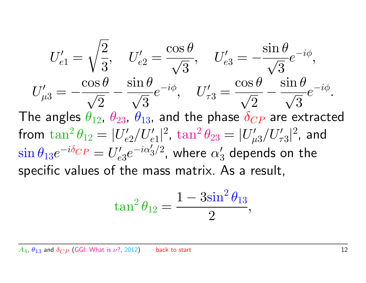$$
U'_{e1} = \sqrt{\frac{2}{3}}, \quad U'_{e2} = \frac{\cos \theta}{\sqrt{3}}, \quad U'_{e3} = -\frac{\sin \theta}{\sqrt{3}} e^{-i\phi},
$$
  
\n
$$
U'_{\mu 3} = -\frac{\cos \theta}{\sqrt{2}} - \frac{\sin \theta}{\sqrt{3}} e^{-i\phi}, \quad U'_{\tau 3} = \frac{\cos \theta}{\sqrt{2}} - \frac{\sin \theta}{\sqrt{3}} e^{-i\phi}.
$$
  
\nThe angles  $\theta_{12}$ ,  $\theta_{23}$ ,  $\theta_{13}$ , and the phase  $\delta_{CP}$  are extracted from  $\tan^2 \theta_{12} = |U'_{e2}/U'_{e1}|^2$ ,  $\tan^2 \theta_{23} = |U'_{\mu 3}/U'_{\tau 3}|^2$ , and  $\sin \theta_{13} e^{-i\delta_{CP}} = U'_{e3} e^{-i\alpha'_{3}/2}$ , where  $\alpha'_{3}$  depends on the specific values of the mass matrix. As a result,

$$
\tan^2\theta_{12}=\frac{1-3\sin^2\theta_{13}}{2},
$$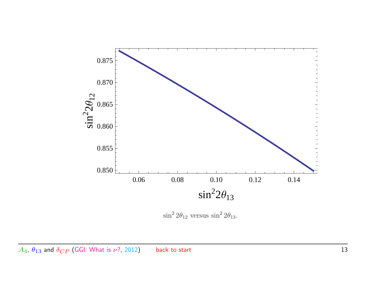

 $\sin^2 2\theta_{12}$  versus  $\sin^2 2\theta_{13}$ .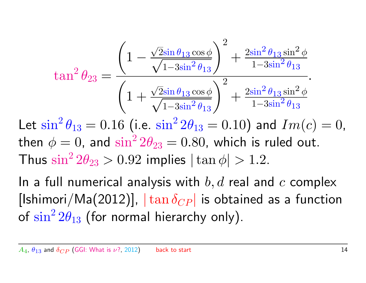$$
\tan^2 \theta_{23} = \frac{\left(1 - \frac{\sqrt{2} \sin \theta_{13} \cos \phi}{\sqrt{1 - 3 \sin^2 \theta_{13}}}\right)^2 + \frac{2 \sin^2 \theta_{13} \sin^2 \phi}{1 - 3 \sin^2 \theta_{13}}}{\left(1 + \frac{\sqrt{2} \sin \theta_{13} \cos \phi}{\sqrt{1 - 3 \sin^2 \theta_{13}}}\right)^2 + \frac{2 \sin^2 \theta_{13} \sin^2 \phi}{1 - 3 \sin^2 \theta_{13}}}.
$$

Let  $\sin^2 \theta_{13} = 0.16$  (i.e.  $\sin^2 2\theta_{13} = 0.10$ ) and  $Im(c) = 0$ , then  $\phi=0$ , and  $\sin^2 2\theta_{23}=0.80$ , which is ruled out. Thus  $\sin^2 2\theta_{23} > 0.92$  implies  $|\tan \phi| > 1.2$ .

In a full numerical analysis with  $b, d$  real and  $c$  complex [Ishimori/Ma(2012)],  $|\tan \delta_{CP}|$  is obtained as a function of  $\sin^2 2\theta_{13}$  (for normal hierarchy only).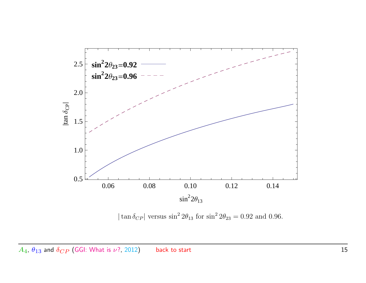

 $|\tan \delta_{CP}|$  versus  $\sin^2 2\theta_{13}$  for  $\sin^2 2\theta_{23} = 0.92$  and 0.96.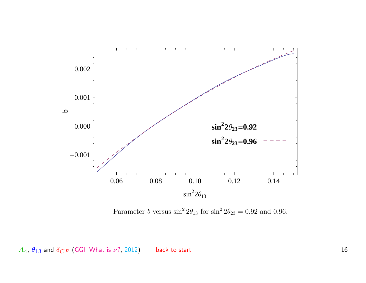

Parameter b versus  $\sin^2 2\theta_{13}$  for  $\sin^2 2\theta_{23} = 0.92$  and 0.96.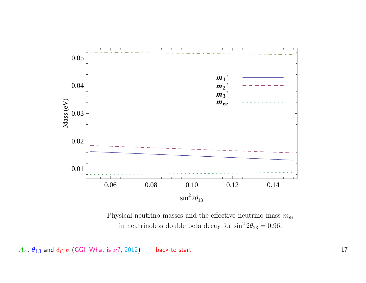

Physical neutrino masses and the effective neutrino mass  $m_{ee}$ in neutrinoless double beta decay for  $\sin^2 2\theta_{23} = 0.96$ .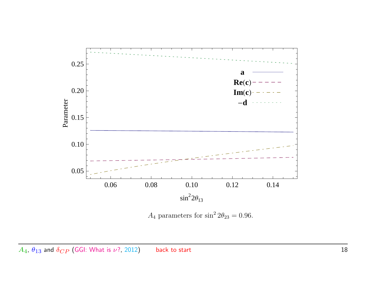

 $A_4$  parameters for  $\sin^2 2\theta_{23} = 0.96$ .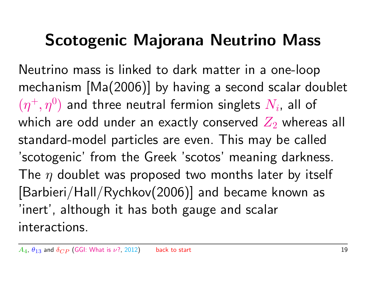#### Scotogenic Majorana Neutrino Mass

<span id="page-18-0"></span>Neutrino mass is linked to dark matter in a one-loop mechanism [Ma(2006)] by having a second scalar doublet  $(\eta^+,\eta^0)$  and three neutral fermion singlets  $N_i$ , all of which are odd under an exactly conserved  $Z_2$  whereas all standard-model particles are even. This may be called 'scotogenic' from the Greek 'scotos' meaning darkness. The  $\eta$  doublet was proposed two months later by itself [Barbieri/Hall/Rychkov(2006)] and became known as 'inert', although it has both gauge and scalar interactions.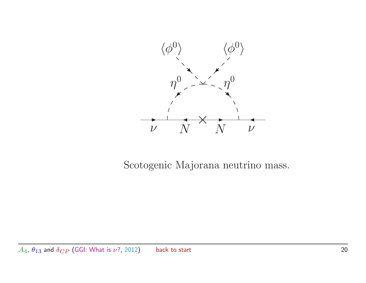

Scotogenic Majorana neutrino mass.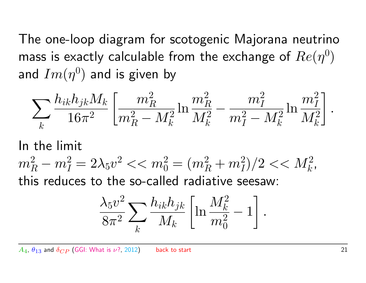The one-loop diagram for scotogenic Majorana neutrino mass is exactly calculable from the exchange of  $Re(\eta^0)$ and  $Im(\eta^0)$  and is given by

$$
\sum_k \frac{h_{ik} h_{jk} M_k}{16 \pi^2} \left[ \frac{m_R^2}{m_R^2 - M_k^2} \ln \frac{m_R^2}{M_k^2} - \frac{m_I^2}{m_I^2 - M_k^2} \ln \frac{m_I^2}{M_k^2} \right].
$$

In the limit

 $m_R^2 - m_I^2 = 2 \lambda_5 v^2 << m_0^2 = (m_R^2 + m_I^2)/2 << M_k^2$ , this reduces to the so-called radiative seesaw:

$$
\frac{\lambda_5 v^2}{8\pi^2}\sum_k \frac{h_{ik}h_{jk}}{M_k}\left[\ln\frac{M_k^2}{m_0^2}-1\right].
$$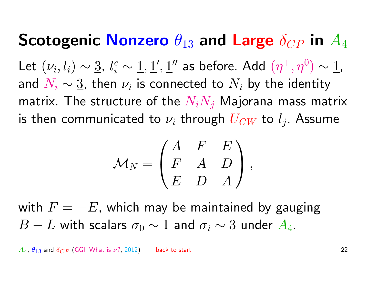# Scotogenic Nonzero  $\theta_{13}$  and Large  $\delta_{CP}$  in  $A_4$

<span id="page-21-0"></span>Let  $(\nu_i, l_i) \sim \underline{3}, l_i^c \sim \underline{1}, \underline{1}', \underline{1}''$  as before. Add  $(\eta^+, \eta^0) \sim \underline{1}$ , and  $N_i \sim \underline{3}$ , then  $\nu_i$  is connected to  $N_i$  by the identity matrix. The structure of the  $N_iN_j$  Majorana mass matrix is then communicated to  $\nu_i$  through  $U_{CW}$  to  $l_j.$  Assume

$$
{\cal M}_N = \begin{pmatrix} A & F & E \\ F & A & D \\ E & D & A \end{pmatrix},
$$

with  $F = -E$ , which may be maintained by gauging  $B - L$  with scalars  $\sigma_0 \sim 1$  and  $\sigma_i \sim 3$  under  $A_4$ .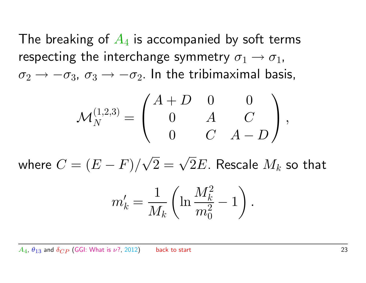The breaking of  $A_4$  is accompanied by soft terms respecting the interchange symmetry  $\sigma_1 \rightarrow \sigma_1$ ,  $\sigma_2 \rightarrow -\sigma_3$ ,  $\sigma_3 \rightarrow -\sigma_2$ . In the tribimaximal basis,

$$
\mathcal{M}_N^{(1,2,3)} = \begin{pmatrix} A+D & 0 & 0 \\ 0 & A & C \\ 0 & C & A-D \end{pmatrix},
$$

where  $C=(E-F)/\sqrt{2}$  $\sqrt{2} = \sqrt{2}E$ . Rescale  $M_k$  so that

$$
m'_k = \frac{1}{M_k} \left( \ln \frac{M_k^2}{m_0^2} - 1 \right).
$$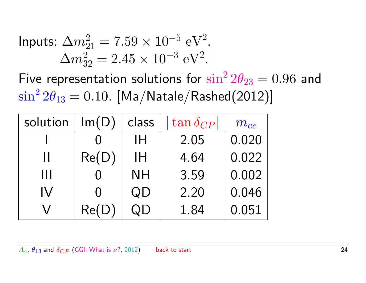InputStream="block">InputStream="right: \Delta m\_{21}^2 = 7.59 \times 10^{-5} \, \text{eV}^2.

\n
$$
\Delta m_{32}^2 = 2.45 \times 10^{-3} \, \text{eV}^2.
$$

Five representation solutions for  $\sin^2 2\theta_{23} = 0.96$  and  $\sin^2 2\theta_{13} = 0.10$ . [Ma/Natale/Rashed(2012)]

| solution | Im(D) | class     | $\tan \delta_{CP}$ | $m_{ee}$ |
|----------|-------|-----------|--------------------|----------|
|          |       | ΙH        | 2.05               | 0.020    |
| Н        | Re(D) | ΙH        | 4.64               | 0.022    |
| Ш        |       | <b>NH</b> | 3.59               | 0.002    |
| IV       |       | QD        | 2.20               | 0.046    |
|          | Re(D) | JD        | 1.84               | 0.051    |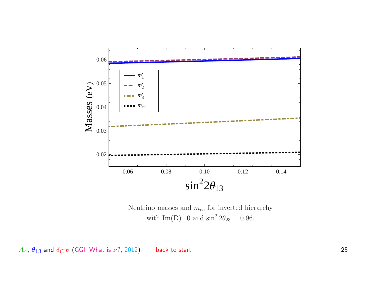

Neutrino masses and  $m_{ee}$  for inverted hierarchy with  $Im(D)=0$  and  $sin^2 2\theta_{23} = 0.96$ .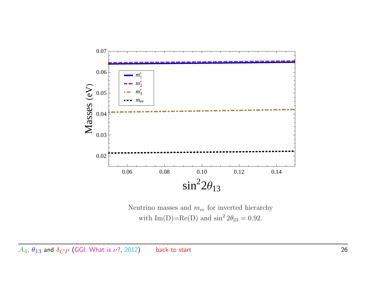

Neutrino masses and  $m_{ee}$  for inverted hierarchy with  $Im(D)=Re(D)$  and  $sin^2 2\theta_{23} = 0.92$ .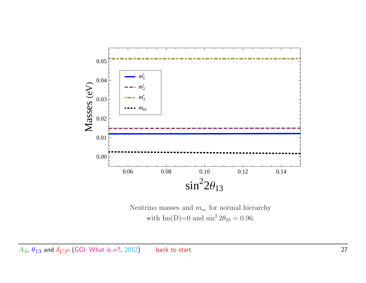

Neutrino masses and  $m_{ee}$  for normal hierarchy with  $Im(D)=0$  and  $sin^2 2\theta_{23} = 0.96$ .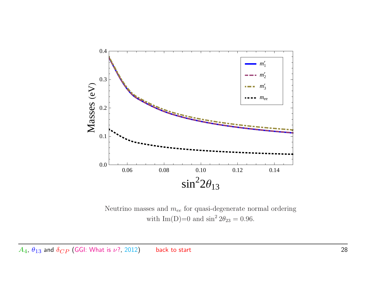

Neutrino masses and  $m_{ee}$  for quasi-degenerate normal ordering with  $Im(D)=0$  and  $sin^2 2\theta_{23} = 0.96$ .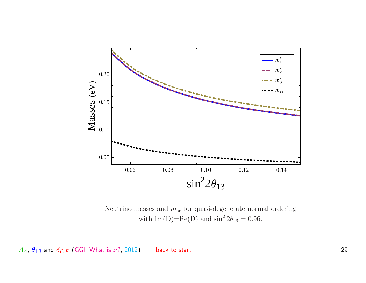

Neutrino masses and  $m_{ee}$  for quasi-degenerate normal ordering with  $Im(D)=Re(D)$  and  $sin^2 2\theta_{23} = 0.96$ .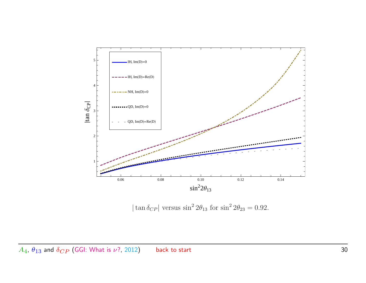

 $|\tan \delta_{CP}|$  versus  $\sin^2 2\theta_{13}$  for  $\sin^2 2\theta_{23} = 0.92$ .